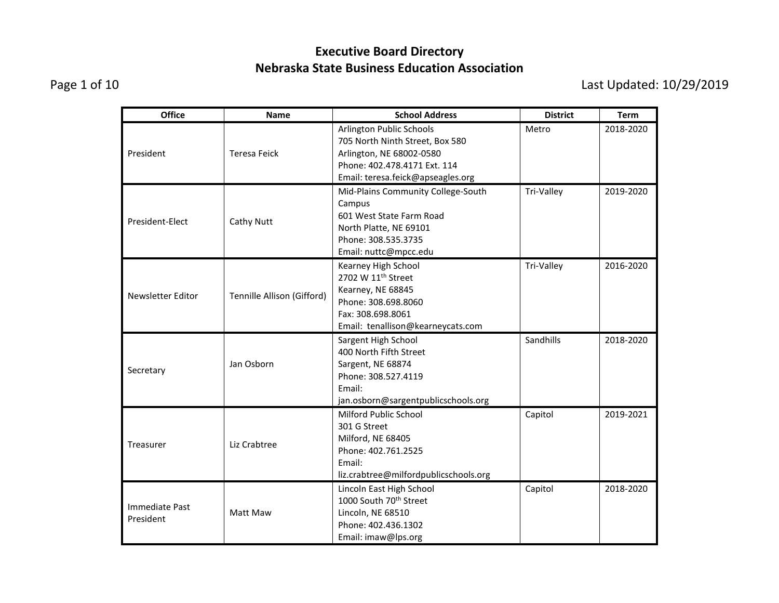Page 1 of 10 Last Updated: 10/29/2019

| <b>Office</b>               | <b>Name</b>                | <b>School Address</b>                                                                                                                                        | <b>District</b> | <b>Term</b> |
|-----------------------------|----------------------------|--------------------------------------------------------------------------------------------------------------------------------------------------------------|-----------------|-------------|
| President                   | <b>Teresa Feick</b>        | Arlington Public Schools<br>705 North Ninth Street, Box 580<br>Arlington, NE 68002-0580<br>Phone: 402.478.4171 Ext. 114<br>Email: teresa.feick@apseagles.org | Metro           | 2018-2020   |
| President-Elect             | <b>Cathy Nutt</b>          | Mid-Plains Community College-South<br>Campus<br>601 West State Farm Road<br>North Platte, NE 69101<br>Phone: 308.535.3735<br>Email: nuttc@mpcc.edu           | Tri-Valley      | 2019-2020   |
| Newsletter Editor           | Tennille Allison (Gifford) | Kearney High School<br>2702 W 11 <sup>th</sup> Street<br>Kearney, NE 68845<br>Phone: 308.698.8060<br>Fax: 308.698.8061<br>Email: tenallison@kearneycats.com  | Tri-Valley      | 2016-2020   |
| Secretary                   | Jan Osborn                 | Sargent High School<br>400 North Fifth Street<br>Sargent, NE 68874<br>Phone: 308.527.4119<br>Email:<br>jan.osborn@sargentpublicschools.org                   | Sandhills       | 2018-2020   |
| Treasurer                   | Liz Crabtree               | Milford Public School<br>301 G Street<br>Milford, NE 68405<br>Phone: 402.761.2525<br>Email:<br>liz.crabtree@milfordpublicschools.org                         | Capitol         | 2019-2021   |
| Immediate Past<br>President | Matt Maw                   | Lincoln East High School<br>1000 South 70 <sup>th</sup> Street<br>Lincoln, NE 68510<br>Phone: 402.436.1302<br>Email: imaw@lps.org                            | Capitol         | 2018-2020   |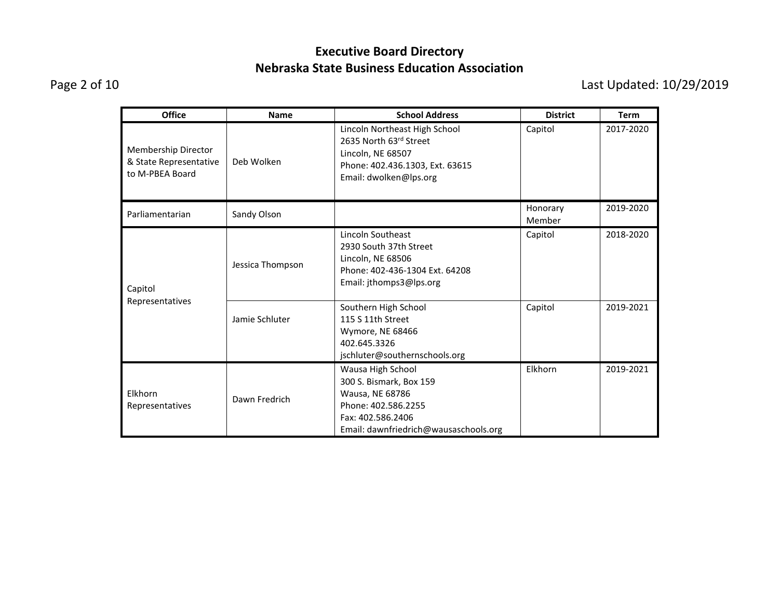Page 2 of 10 Last Updated: 10/29/2019

| <b>Office</b>                                                    | <b>Name</b>      | <b>School Address</b>                                                                                                                                | <b>District</b>    | <b>Term</b> |
|------------------------------------------------------------------|------------------|------------------------------------------------------------------------------------------------------------------------------------------------------|--------------------|-------------|
| Membership Director<br>& State Representative<br>to M-PBEA Board | Deb Wolken       | Lincoln Northeast High School<br>2635 North 63rd Street<br>Lincoln, NE 68507<br>Phone: 402.436.1303, Ext. 63615<br>Email: dwolken@lps.org            | Capitol            | 2017-2020   |
| Parliamentarian                                                  | Sandy Olson      |                                                                                                                                                      | Honorary<br>Member | 2019-2020   |
| Capitol<br>Representatives                                       | Jessica Thompson | Lincoln Southeast<br>2930 South 37th Street<br>Lincoln, NE 68506<br>Phone: 402-436-1304 Ext. 64208<br>Email: jthomps3@lps.org                        | Capitol            | 2018-2020   |
|                                                                  | Jamie Schluter   | Southern High School<br>115 S 11th Street<br>Wymore, NE 68466<br>402.645.3326<br>jschluter@southernschools.org                                       | Capitol            | 2019-2021   |
| Elkhorn<br>Representatives                                       | Dawn Fredrich    | Wausa High School<br>300 S. Bismark, Box 159<br>Wausa, NE 68786<br>Phone: 402.586.2255<br>Fax: 402.586.2406<br>Email: dawnfriedrich@wausaschools.org | Elkhorn            | 2019-2021   |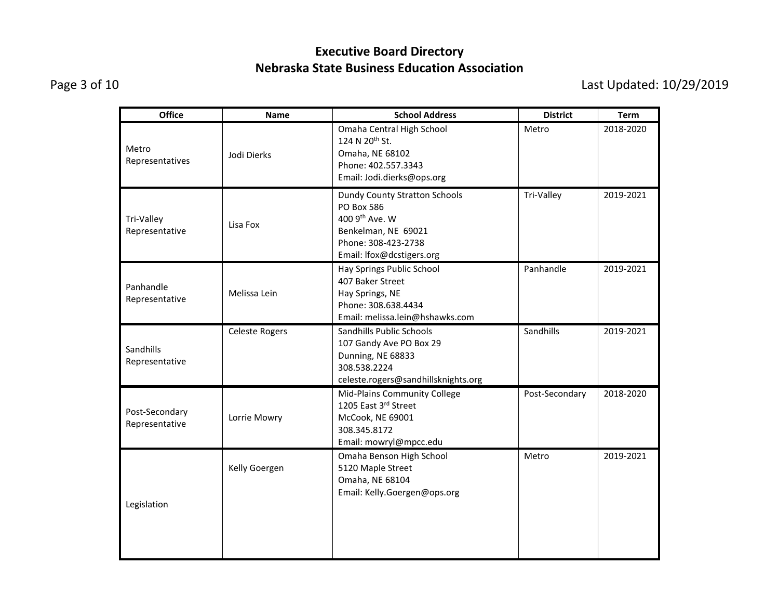Page 3 of 10 Last Updated: 10/29/2019

| <b>Office</b>                    | Name                  | <b>School Address</b>                                                                                                                                  | <b>District</b> | <b>Term</b> |
|----------------------------------|-----------------------|--------------------------------------------------------------------------------------------------------------------------------------------------------|-----------------|-------------|
| Metro<br>Representatives         | Jodi Dierks           | Omaha Central High School<br>124 N 20 <sup>th</sup> St.<br>Omaha, NE 68102<br>Phone: 402.557.3343<br>Email: Jodi.dierks@ops.org                        | Metro           | 2018-2020   |
| Tri-Valley<br>Representative     | Lisa Fox              | <b>Dundy County Stratton Schools</b><br><b>PO Box 586</b><br>400 9th Ave. W<br>Benkelman, NE 69021<br>Phone: 308-423-2738<br>Email: Ifox@dcstigers.org | Tri-Valley      | 2019-2021   |
| Panhandle<br>Representative      | Melissa Lein          | Hay Springs Public School<br>407 Baker Street<br>Hay Springs, NE<br>Phone: 308.638.4434<br>Email: melissa.lein@hshawks.com                             | Panhandle       | 2019-2021   |
| Sandhills<br>Representative      | <b>Celeste Rogers</b> | Sandhills Public Schools<br>107 Gandy Ave PO Box 29<br>Dunning, NE 68833<br>308.538.2224<br>celeste.rogers@sandhillsknights.org                        | Sandhills       | 2019-2021   |
| Post-Secondary<br>Representative | Lorrie Mowry          | Mid-Plains Community College<br>1205 East 3rd Street<br>McCook, NE 69001<br>308.345.8172<br>Email: mowryl@mpcc.edu                                     | Post-Secondary  | 2018-2020   |
| Legislation                      | Kelly Goergen         | Omaha Benson High School<br>5120 Maple Street<br>Omaha, NE 68104<br>Email: Kelly.Goergen@ops.org                                                       | Metro           | 2019-2021   |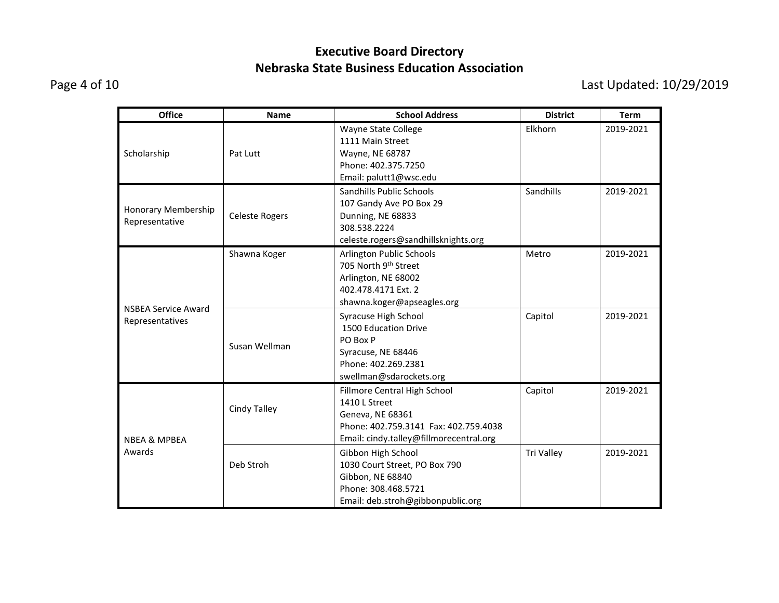Page 4 of 10 Last Updated: 10/29/2019

| <b>Office</b>                                 | <b>Name</b>           | <b>School Address</b>                                                                                                                                 | <b>District</b>   | <b>Term</b> |
|-----------------------------------------------|-----------------------|-------------------------------------------------------------------------------------------------------------------------------------------------------|-------------------|-------------|
| Scholarship                                   | Pat Lutt              | Wayne State College<br>1111 Main Street<br>Wayne, NE 68787<br>Phone: 402.375.7250<br>Email: palutt1@wsc.edu                                           | Elkhorn           | 2019-2021   |
| Honorary Membership<br>Representative         | <b>Celeste Rogers</b> | Sandhills Public Schools<br>107 Gandy Ave PO Box 29<br>Dunning, NE 68833<br>308.538.2224<br>celeste.rogers@sandhillsknights.org                       | Sandhills         | 2019-2021   |
|                                               | Shawna Koger          | Arlington Public Schools<br>705 North 9th Street<br>Arlington, NE 68002<br>402.478.4171 Ext. 2<br>shawna.koger@apseagles.org                          | Metro             | 2019-2021   |
| <b>NSBEA Service Award</b><br>Representatives | Susan Wellman         | Syracuse High School<br>1500 Education Drive<br>PO Box P<br>Syracuse, NE 68446<br>Phone: 402.269.2381<br>swellman@sdarockets.org                      | Capitol           | 2019-2021   |
| <b>NBEA &amp; MPBEA</b>                       | Cindy Talley          | Fillmore Central High School<br>1410 L Street<br>Geneva, NE 68361<br>Phone: 402.759.3141 Fax: 402.759.4038<br>Email: cindy.talley@fillmorecentral.org | Capitol           | 2019-2021   |
| Awards                                        | Deb Stroh             | Gibbon High School<br>1030 Court Street, PO Box 790<br>Gibbon, NE 68840<br>Phone: 308.468.5721<br>Email: deb.stroh@gibbonpublic.org                   | <b>Tri Valley</b> | 2019-2021   |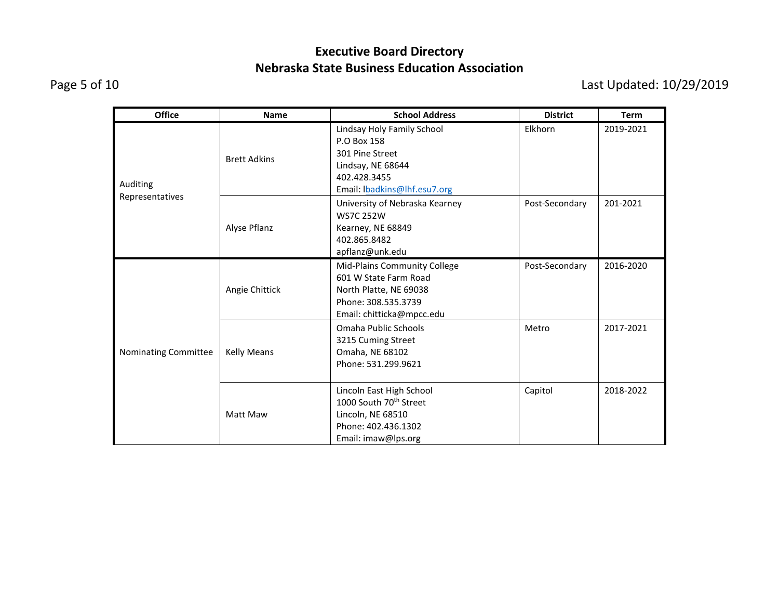Page 5 of 10 Last Updated: 10/29/2019

| <b>Office</b>               | <b>Name</b>         | <b>School Address</b>                                                                                                               | <b>District</b> | <b>Term</b> |
|-----------------------------|---------------------|-------------------------------------------------------------------------------------------------------------------------------------|-----------------|-------------|
| Auditing<br>Representatives | <b>Brett Adkins</b> | Lindsay Holy Family School<br>P.O Box 158<br>301 Pine Street<br>Lindsay, NE 68644<br>402.428.3455<br>Email: Ibadkins@lhf.esu7.org   | Elkhorn         | 2019-2021   |
|                             | Alyse Pflanz        | University of Nebraska Kearney<br><b>WS7C 252W</b><br>Kearney, NE 68849<br>402.865.8482<br>apflanz@unk.edu                          | Post-Secondary  | 201-2021    |
| Nominating Committee        | Angie Chittick      | Mid-Plains Community College<br>601 W State Farm Road<br>North Platte, NE 69038<br>Phone: 308.535.3739<br>Email: chitticka@mpcc.edu | Post-Secondary  | 2016-2020   |
|                             | <b>Kelly Means</b>  | Omaha Public Schools<br>3215 Cuming Street<br>Omaha, NE 68102<br>Phone: 531.299.9621                                                | Metro           | 2017-2021   |
|                             | Matt Maw            | Lincoln East High School<br>1000 South 70 <sup>th</sup> Street<br>Lincoln, NE 68510<br>Phone: 402.436.1302<br>Email: imaw@lps.org   | Capitol         | 2018-2022   |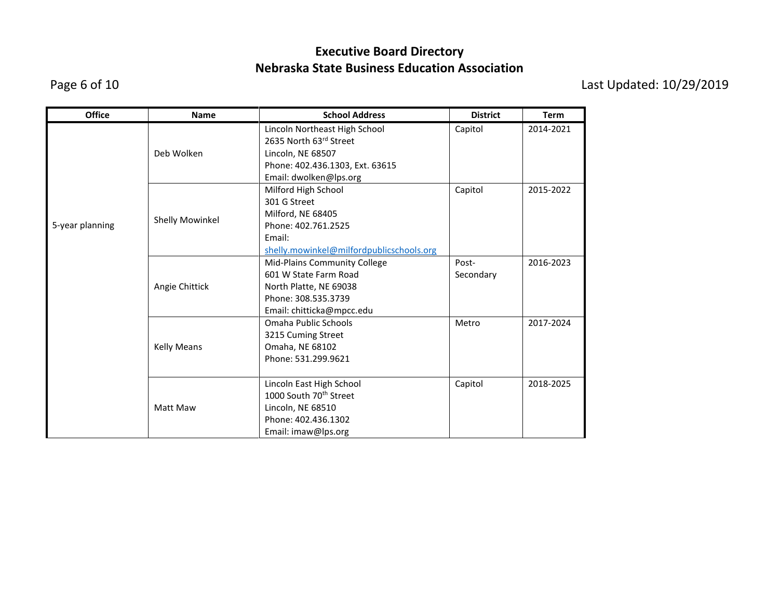Page 6 of 10 Last Updated: 10/29/2019

| <b>Office</b>   | <b>Name</b>            | <b>School Address</b>                    | <b>District</b> | <b>Term</b> |
|-----------------|------------------------|------------------------------------------|-----------------|-------------|
|                 |                        | Lincoln Northeast High School            | Capitol         | 2014-2021   |
|                 |                        | 2635 North 63rd Street                   |                 |             |
|                 | Deb Wolken             | Lincoln, NE 68507                        |                 |             |
|                 |                        | Phone: 402.436.1303, Ext. 63615          |                 |             |
|                 |                        | Email: dwolken@lps.org                   |                 |             |
|                 |                        | Milford High School                      | Capitol         | 2015-2022   |
|                 |                        | 301 G Street                             |                 |             |
|                 |                        | Milford, NE 68405                        |                 |             |
| 5-year planning | <b>Shelly Mowinkel</b> | Phone: 402.761.2525                      |                 |             |
|                 |                        | Email:                                   |                 |             |
|                 |                        | shelly.mowinkel@milfordpublicschools.org |                 |             |
|                 |                        | Mid-Plains Community College             | Post-           | 2016-2023   |
|                 |                        | 601 W State Farm Road                    | Secondary       |             |
|                 | Angie Chittick         | North Platte, NE 69038                   |                 |             |
|                 |                        | Phone: 308.535.3739                      |                 |             |
|                 |                        | Email: chitticka@mpcc.edu                |                 |             |
|                 |                        | Omaha Public Schools                     | Metro           | 2017-2024   |
|                 |                        | 3215 Cuming Street                       |                 |             |
|                 | <b>Kelly Means</b>     | Omaha, NE 68102                          |                 |             |
|                 |                        | Phone: 531.299.9621                      |                 |             |
|                 |                        |                                          |                 |             |
|                 |                        | Lincoln East High School                 | Capitol         | 2018-2025   |
|                 | Matt Maw               | 1000 South 70 <sup>th</sup> Street       |                 |             |
|                 |                        | Lincoln, NE 68510                        |                 |             |
|                 |                        | Phone: 402.436.1302                      |                 |             |
|                 |                        | Email: imaw@lps.org                      |                 |             |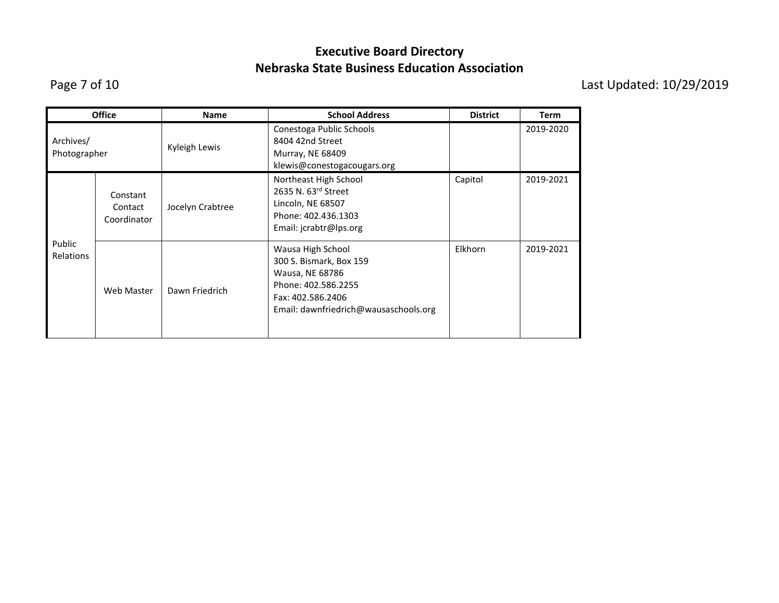Page 7 of 10 Last Updated: 10/29/2019

|                            | <b>Office</b>                      | <b>Name</b>      | <b>School Address</b>                                                                                                                                | <b>District</b> | <b>Term</b> |
|----------------------------|------------------------------------|------------------|------------------------------------------------------------------------------------------------------------------------------------------------------|-----------------|-------------|
| Archives/<br>Photographer  |                                    | Kyleigh Lewis    | Conestoga Public Schools<br>8404 42nd Street<br>Murray, NE 68409<br>klewis@conestogacougars.org                                                      |                 | 2019-2020   |
|                            | Constant<br>Contact<br>Coordinator | Jocelyn Crabtree | Northeast High School<br>2635 N. 63rd Street<br>Lincoln, NE 68507<br>Phone: 402.436.1303<br>Email: jcrabtr@lps.org                                   | Capitol         | 2019-2021   |
| Public<br><b>Relations</b> | Web Master                         | Dawn Friedrich   | Wausa High School<br>300 S. Bismark, Box 159<br>Wausa, NE 68786<br>Phone: 402.586.2255<br>Fax: 402.586.2406<br>Email: dawnfriedrich@wausaschools.org | Elkhorn         | 2019-2021   |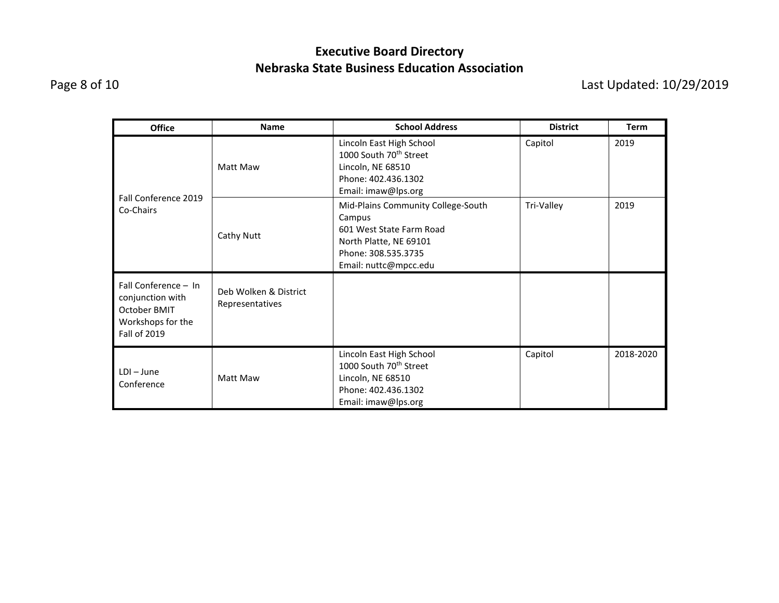Page 8 of 10 Last Updated: 10/29/2019

| <b>Office</b>                                                                                        | <b>Name</b>                              | <b>School Address</b>                                                                                                                              | <b>District</b> | <b>Term</b> |
|------------------------------------------------------------------------------------------------------|------------------------------------------|----------------------------------------------------------------------------------------------------------------------------------------------------|-----------------|-------------|
|                                                                                                      | Matt Maw                                 | Lincoln East High School<br>1000 South 70 <sup>th</sup> Street<br>Lincoln, NE 68510<br>Phone: 402.436.1302<br>Email: imaw@lps.org                  | Capitol         | 2019        |
| Fall Conference 2019<br>Co-Chairs                                                                    | Cathy Nutt                               | Mid-Plains Community College-South<br>Campus<br>601 West State Farm Road<br>North Platte, NE 69101<br>Phone: 308.535.3735<br>Email: nuttc@mpcc.edu | Tri-Valley      | 2019        |
| Fall Conference - In<br>conjunction with<br>October BMIT<br>Workshops for the<br><b>Fall of 2019</b> | Deb Wolken & District<br>Representatives |                                                                                                                                                    |                 |             |
| $LDI - June$<br>Conference                                                                           | Matt Maw                                 | Lincoln East High School<br>1000 South 70 <sup>th</sup> Street<br>Lincoln, NE 68510<br>Phone: 402.436.1302<br>Email: imaw@lps.org                  | Capitol         | 2018-2020   |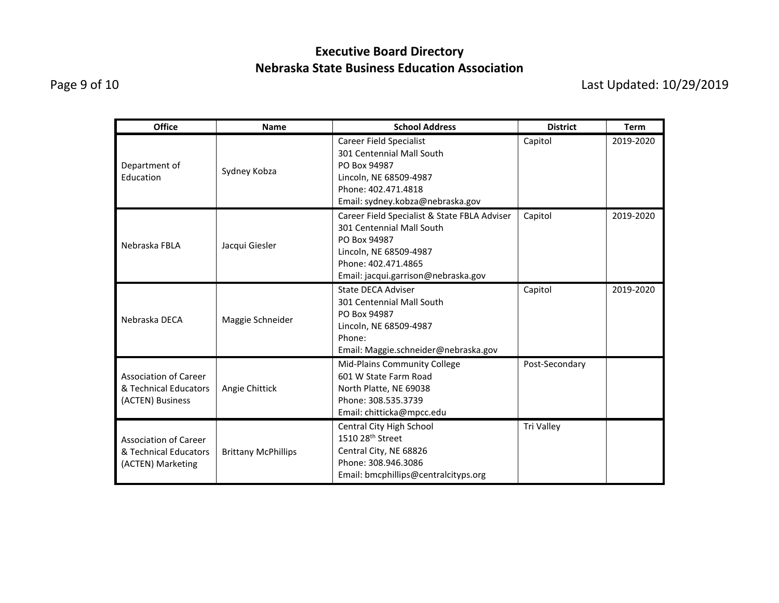Page 9 of 10 Last Updated: 10/29/2019

| <b>Office</b>                                                              | <b>Name</b>                | <b>School Address</b>                                                                                                                                                             | <b>District</b> | <b>Term</b> |
|----------------------------------------------------------------------------|----------------------------|-----------------------------------------------------------------------------------------------------------------------------------------------------------------------------------|-----------------|-------------|
| Department of<br>Education                                                 | Sydney Kobza               | <b>Career Field Specialist</b><br>301 Centennial Mall South<br>PO Box 94987<br>Lincoln, NE 68509-4987<br>Phone: 402.471.4818<br>Email: sydney.kobza@nebraska.gov                  | Capitol         | 2019-2020   |
| Nebraska FBI A                                                             | Jacqui Giesler             | Career Field Specialist & State FBLA Adviser<br>301 Centennial Mall South<br>PO Box 94987<br>Lincoln, NE 68509-4987<br>Phone: 402.471.4865<br>Email: jacqui.garrison@nebraska.gov | Capitol         | 2019-2020   |
| Nebraska DECA                                                              | Maggie Schneider           | State DECA Adviser<br>301 Centennial Mall South<br>PO Box 94987<br>Lincoln, NE 68509-4987<br>Phone:<br>Email: Maggie.schneider@nebraska.gov                                       | Capitol         | 2019-2020   |
| <b>Association of Career</b><br>& Technical Educators<br>(ACTEN) Business  | Angie Chittick             | <b>Mid-Plains Community College</b><br>601 W State Farm Road<br>North Platte, NE 69038<br>Phone: 308.535.3739<br>Email: chitticka@mpcc.edu                                        | Post-Secondary  |             |
| <b>Association of Career</b><br>& Technical Educators<br>(ACTEN) Marketing | <b>Brittany McPhillips</b> | Central City High School<br>1510 28 <sup>th</sup> Street<br>Central City, NE 68826<br>Phone: 308.946.3086<br>Email: bmcphillips@centralcityps.org                                 | Tri Valley      |             |